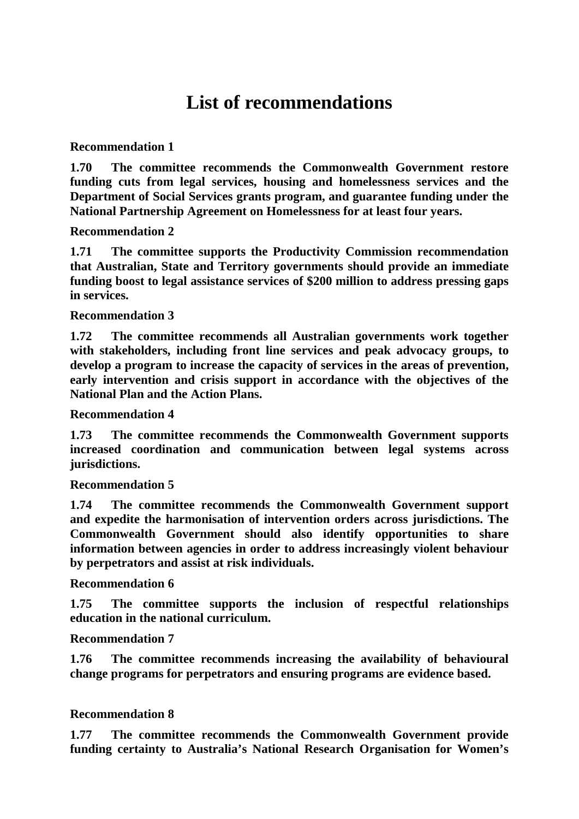# **List of recommendations**

## **Recommendation 1**

**1.70 The committee recommends the Commonwealth Government restore funding cuts from legal services, housing and homelessness services and the Department of Social Services grants program, and guarantee funding under the National Partnership Agreement on Homelessness for at least four years.** 

## **Recommendation 2**

**1.71 The committee supports the Productivity Commission recommendation that Australian, State and Territory governments should provide an immediate funding boost to legal assistance services of \$200 million to address pressing gaps in services.**

## **Recommendation 3**

**1.72 The committee recommends all Australian governments work together with stakeholders, including front line services and peak advocacy groups, to develop a program to increase the capacity of services in the areas of prevention, early intervention and crisis support in accordance with the objectives of the National Plan and the Action Plans.** 

#### **Recommendation 4**

**1.73 The committee recommends the Commonwealth Government supports increased coordination and communication between legal systems across jurisdictions.** 

#### **Recommendation 5**

**1.74 The committee recommends the Commonwealth Government support and expedite the harmonisation of intervention orders across jurisdictions. The Commonwealth Government should also identify opportunities to share information between agencies in order to address increasingly violent behaviour by perpetrators and assist at risk individuals.** 

#### **Recommendation 6**

**1.75 The committee supports the inclusion of respectful relationships education in the national curriculum.**

#### **Recommendation 7**

**1.76 The committee recommends increasing the availability of behavioural change programs for perpetrators and ensuring programs are evidence based.** 

#### **Recommendation 8**

**1.77 The committee recommends the Commonwealth Government provide funding certainty to Australia's National Research Organisation for Women's**